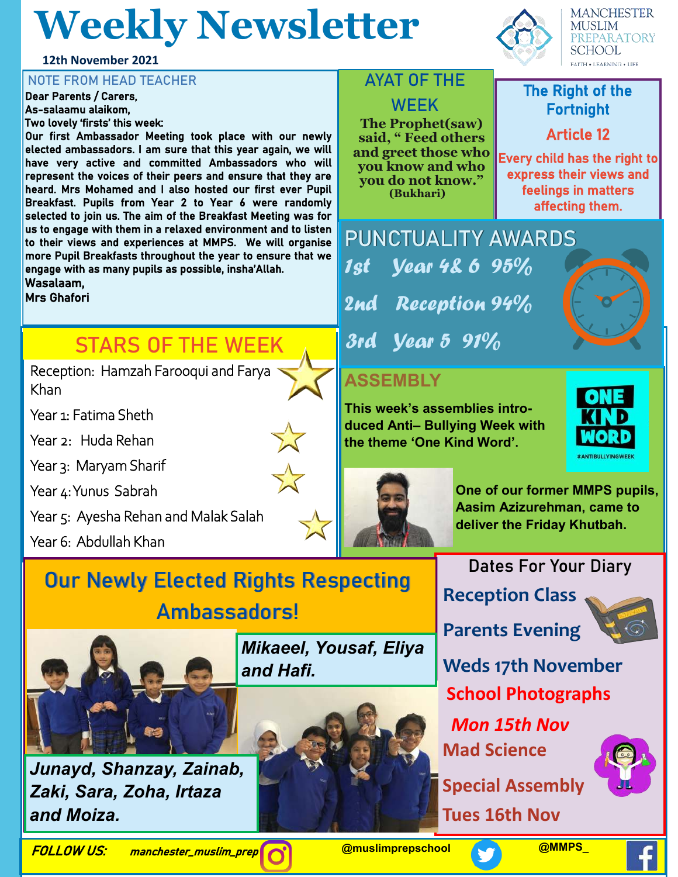# **Weekly Newsletter**

**12th November 2021**

## NOTE FROM HEAD TEACHER<br>Dear Parents / Carers

Dear Parents / Carers, As-salaamu alaikom, Two lovely 'firsts' this week:

Our first Ambassador Meeting took place with our newly elected ambassadors. I am sure that this year again, we will have very active and committed Ambassadors who will represent the voices of their peers and ensure that they are heard. Mrs Mohamed and I also hosted our first ever Pupil Breakfast. Pupils from Year 2 to Year 6 were randomly selected to join us. The aim of the Breakfast Meeting was for us to engage with them in a relaxed environment and to listen to their views and experiences at MMPS. We will organise more Pupil Breakfasts throughout the year to ensure that we engage with as many pupils as possible, insha'Allah.

Wasalaam,

Mrs Ghafori

## **STARS OF THE WEEK**

Reception: Hamzah Farooqui and Farya Khan

Year 1: Fatima Sheth

Year 2: Huda Rehan

Year 3: Maryam Sharif

Year 4: Yunus Sabrah

Year 5: Ayesha Rehan and Malak Salah

Year 6: Abdullah Khan

# **Our Newly Elected Rights Respecting Ambassadors!**



*Junayd, Shanzay, Zainab, Zaki, Sara, Zoha, Irtaza and Moiza.*



**Special Assembly** 

**Tues 16th Nov**



## **PREPARATORY SCHOOL FAITH . LEARNING . LIFE**

**MANCHESTER MUSLIM** 

#### Fortnight Article 12

Every child has the right to express their views and feelings in matters affecting them.

**PUNCTUALITY AWARDS** 1st Reception 94% 3rd Year 5 91%  **Year 4& 6 95%** 

**AYAT OF THE** 

**WEEK The Prophet(saw) said, " Feed others and greet those who you know and who you do not know." (Bukhari)** 

### **ASSEMBLY**

**This week's assemblies introduced Anti– Bullying Week with the theme 'One Kind Word'.** 





**One of our former MMPS pupils, Aasim Azizurehman, came to deliver the Friday Khutbah.**

#### **Dates For Your Diary**

**Reception Class**



**Parents Evening** 

**Weds 17th November School Photographs**

*Mon 15th Nov*  **Mad Science** 



FOLLOW US: manchester\_muslim\_prep **@muslimprepschool @MMPS\_**